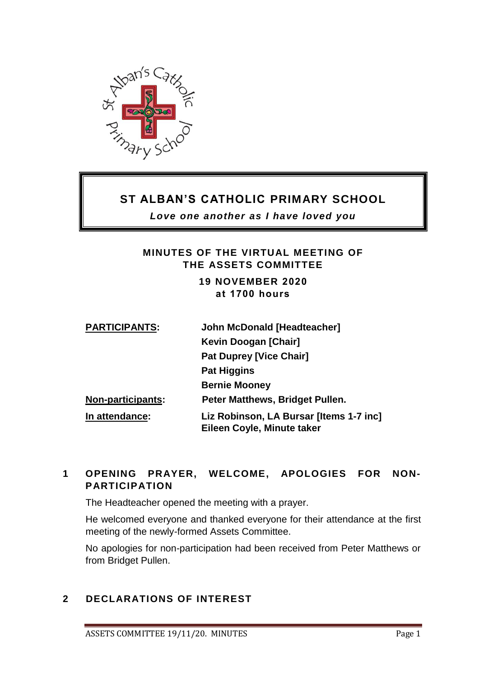

## **ST ALBAN'S CATHOLIC PRIMARY SCHOOL**

*Love one another as I have loved you*

## **MINUTES OF THE VIRTUAL MEETING OF THE ASSETS COMMITTEE**

### **19 NOVEMBER 2020 at 1700 hours**

| <b>PARTICIPANTS:</b>                                                                    | <b>John McDonald [Headteacher]</b> |
|-----------------------------------------------------------------------------------------|------------------------------------|
|                                                                                         | Kevin Doogan [Chair]               |
|                                                                                         | <b>Pat Duprey [Vice Chair]</b>     |
|                                                                                         | <b>Pat Higgins</b>                 |
|                                                                                         | <b>Bernie Mooney</b>               |
| <b>Non-participants:</b>                                                                | Peter Matthews, Bridget Pullen.    |
| Liz Robinson, LA Bursar [Items 1-7 inc]<br>In attendance:<br>Eileen Coyle, Minute taker |                                    |

## **1 OPENING PRAYER, WELCOME, APOLOGIES FOR NON-PARTICIPATION**

The Headteacher opened the meeting with a prayer.

He welcomed everyone and thanked everyone for their attendance at the first meeting of the newly-formed Assets Committee.

No apologies for non-participation had been received from Peter Matthews or from Bridget Pullen.

## **2 DECLARATIONS OF INTEREST**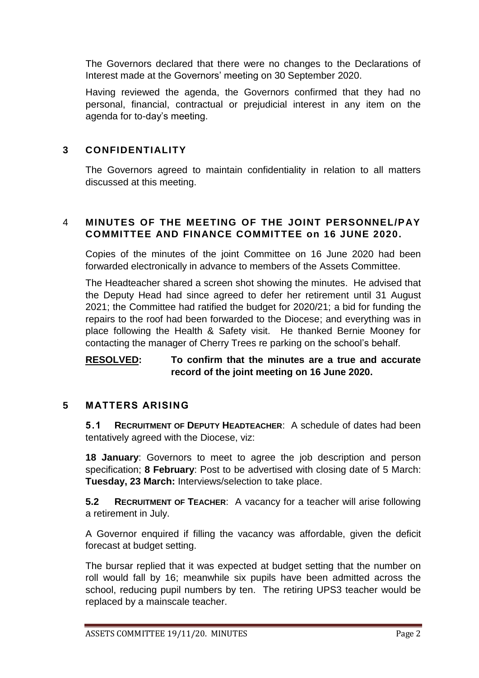The Governors declared that there were no changes to the Declarations of Interest made at the Governors' meeting on 30 September 2020.

Having reviewed the agenda, the Governors confirmed that they had no personal, financial, contractual or prejudicial interest in any item on the agenda for to-day's meeting.

### **3 CONFIDENTIALITY**

The Governors agreed to maintain confidentiality in relation to all matters discussed at this meeting.

## 4 **MINUTES OF THE MEETING OF THE JOINT PERSONNEL/PAY COMMITTEE AND FINANCE COMMITTEE on 16 JUNE 2020.**

Copies of the minutes of the joint Committee on 16 June 2020 had been forwarded electronically in advance to members of the Assets Committee.

The Headteacher shared a screen shot showing the minutes. He advised that the Deputy Head had since agreed to defer her retirement until 31 August 2021; the Committee had ratified the budget for 2020/21; a bid for funding the repairs to the roof had been forwarded to the Diocese; and everything was in place following the Health & Safety visit. He thanked Bernie Mooney for contacting the manager of Cherry Trees re parking on the school's behalf.

#### **RESOLVED: To confirm that the minutes are a true and accurate record of the joint meeting on 16 June 2020.**

### **5 MATTERS ARISING**

**5.1 RECRUITMENT OF DEPUTY HEADTEACHER**: A schedule of dates had been tentatively agreed with the Diocese, viz:

**18 January**: Governors to meet to agree the job description and person specification; **8 February**: Post to be advertised with closing date of 5 March: **Tuesday, 23 March:** Interviews/selection to take place.

**5.2 RECRUITMENT OF TEACHER**: A vacancy for a teacher will arise following a retirement in July.

A Governor enquired if filling the vacancy was affordable, given the deficit forecast at budget setting.

The bursar replied that it was expected at budget setting that the number on roll would fall by 16; meanwhile six pupils have been admitted across the school, reducing pupil numbers by ten. The retiring UPS3 teacher would be replaced by a mainscale teacher.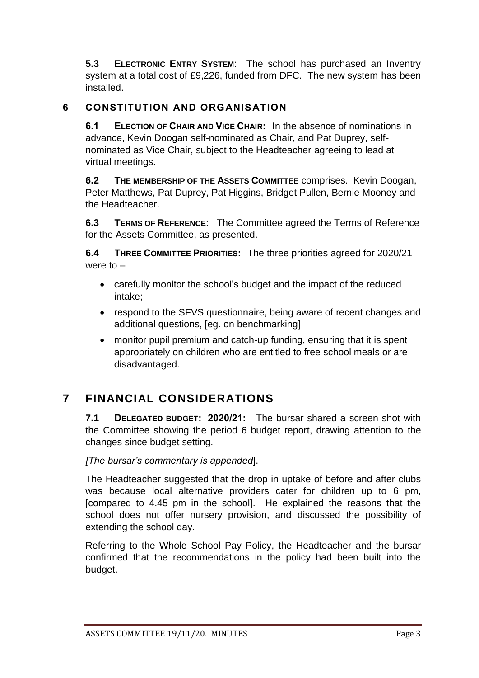**5.3 ELECTRONIC ENTRY SYSTEM**: The school has purchased an Inventry system at a total cost of £9,226, funded from DFC. The new system has been installed.

## **6 CONSTITUTION AND ORGANISATION**

**6.1 ELECTION OF CHAIR AND VICE CHAIR:** In the absence of nominations in advance, Kevin Doogan self-nominated as Chair, and Pat Duprey, selfnominated as Vice Chair, subject to the Headteacher agreeing to lead at virtual meetings.

**6.2 THE MEMBERSHIP OF THE ASSETS COMMITTEE** comprises. Kevin Doogan, Peter Matthews, Pat Duprey, Pat Higgins, Bridget Pullen, Bernie Mooney and the Headteacher.

**6.3 TERMS OF REFERENCE**: The Committee agreed the Terms of Reference for the Assets Committee, as presented.

**6.4 THREE COMMITTEE PRIORITIES:** The three priorities agreed for 2020/21 were to –

- carefully monitor the school's budget and the impact of the reduced intake;
- respond to the SFVS questionnaire, being aware of recent changes and additional questions, [eg. on benchmarking]
- monitor pupil premium and catch-up funding, ensuring that it is spent appropriately on children who are entitled to free school meals or are disadvantaged.

## **7 FINANCIAL CONSIDERATIONS**

**7.1 DELEGATED BUDGET: 2020/21:** The bursar shared a screen shot with the Committee showing the period 6 budget report, drawing attention to the changes since budget setting.

*[The bursar's commentary is appended*].

The Headteacher suggested that the drop in uptake of before and after clubs was because local alternative providers cater for children up to 6 pm, [compared to 4.45 pm in the school]. He explained the reasons that the school does not offer nursery provision, and discussed the possibility of extending the school day.

Referring to the Whole School Pay Policy, the Headteacher and the bursar confirmed that the recommendations in the policy had been built into the budget.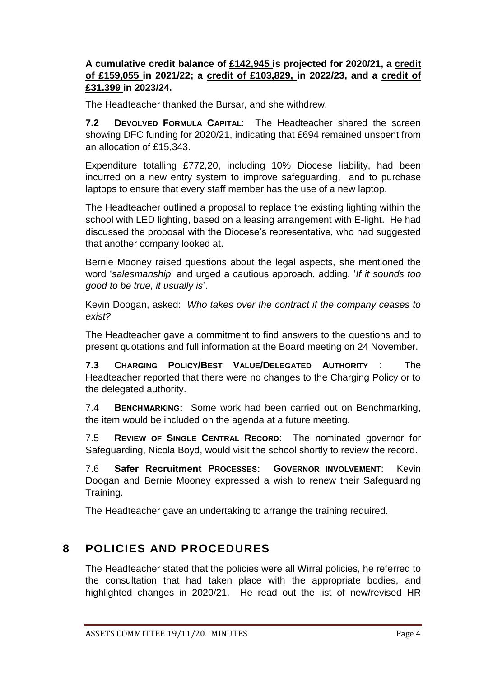### **A cumulative credit balance of £142,945 is projected for 2020/21, a credit of £159,055 in 2021/22; a credit of £103,829, in 2022/23, and a credit of £31.399 in 2023/24.**

The Headteacher thanked the Bursar, and she withdrew.

**7.2 DEVOLVED FORMULA CAPITAL**: The Headteacher shared the screen showing DFC funding for 2020/21, indicating that £694 remained unspent from an allocation of £15,343.

Expenditure totalling £772,20, including 10% Diocese liability, had been incurred on a new entry system to improve safeguarding, and to purchase laptops to ensure that every staff member has the use of a new laptop.

The Headteacher outlined a proposal to replace the existing lighting within the school with LED lighting, based on a leasing arrangement with E-light. He had discussed the proposal with the Diocese's representative, who had suggested that another company looked at.

Bernie Mooney raised questions about the legal aspects, she mentioned the word '*salesmanship*' and urged a cautious approach, adding, '*If it sounds too good to be true, it usually is*'.

Kevin Doogan, asked: *Who takes over the contract if the company ceases to exist?*

The Headteacher gave a commitment to find answers to the questions and to present quotations and full information at the Board meeting on 24 November.

**7.3 CHARGING POLICY/BEST VALUE/DELEGATED AUTHORITY** : The Headteacher reported that there were no changes to the Charging Policy or to the delegated authority.

7.4 **BENCHMARKING:** Some work had been carried out on Benchmarking, the item would be included on the agenda at a future meeting.

7.5 **REVIEW OF SINGLE CENTRAL RECORD**: The nominated governor for Safeguarding, Nicola Boyd, would visit the school shortly to review the record.

7.6 **Safer Recruitment PROCESSES: GOVERNOR INVOLVEMENT**: Kevin Doogan and Bernie Mooney expressed a wish to renew their Safeguarding Training.

The Headteacher gave an undertaking to arrange the training required.

## **8 POLICIES AND PROCEDURES**

The Headteacher stated that the policies were all Wirral policies, he referred to the consultation that had taken place with the appropriate bodies, and highlighted changes in 2020/21. He read out the list of new/revised HR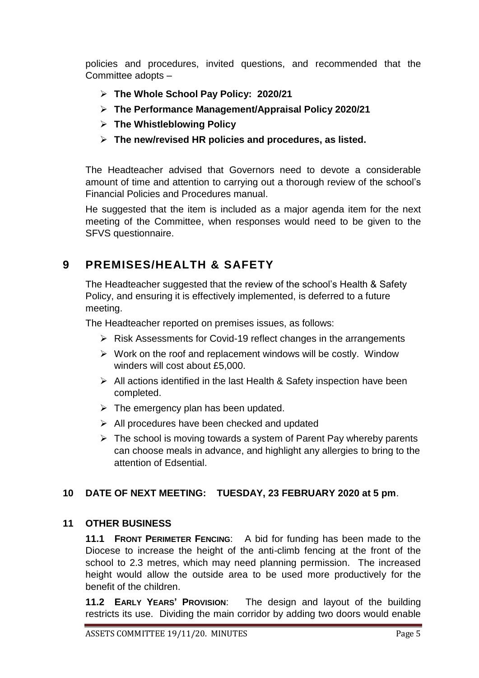policies and procedures, invited questions, and recommended that the Committee adopts –

- **The Whole School Pay Policy: 2020/21**
- **The Performance Management/Appraisal Policy 2020/21**
- **The Whistleblowing Policy**
- **The new/revised HR policies and procedures, as listed.**

The Headteacher advised that Governors need to devote a considerable amount of time and attention to carrying out a thorough review of the school's Financial Policies and Procedures manual.

He suggested that the item is included as a major agenda item for the next meeting of the Committee, when responses would need to be given to the SFVS questionnaire.

## **9 PREMISES/HEALTH & SAFETY**

The Headteacher suggested that the review of the school's Health & Safety Policy, and ensuring it is effectively implemented, is deferred to a future meeting.

The Headteacher reported on premises issues, as follows:

- $\triangleright$  Risk Assessments for Covid-19 reflect changes in the arrangements
- $\triangleright$  Work on the roof and replacement windows will be costly. Window winders will cost about £5,000.
- $\triangleright$  All actions identified in the last Health & Safety inspection have been completed.
- $\triangleright$  The emergency plan has been updated.
- $\triangleright$  All procedures have been checked and updated
- $\triangleright$  The school is moving towards a system of Parent Pay whereby parents can choose meals in advance, and highlight any allergies to bring to the attention of Edsential.

### **10 DATE OF NEXT MEETING: TUESDAY, 23 FEBRUARY 2020 at 5 pm**.

### **11 OTHER BUSINESS**

**11.1 FRONT PERIMETER FENCING**: A bid for funding has been made to the Diocese to increase the height of the anti-climb fencing at the front of the school to 2.3 metres, which may need planning permission. The increased height would allow the outside area to be used more productively for the benefit of the children.

**11.2 EARLY YEARS' PROVISION**: The design and layout of the building restricts its use. Dividing the main corridor by adding two doors would enable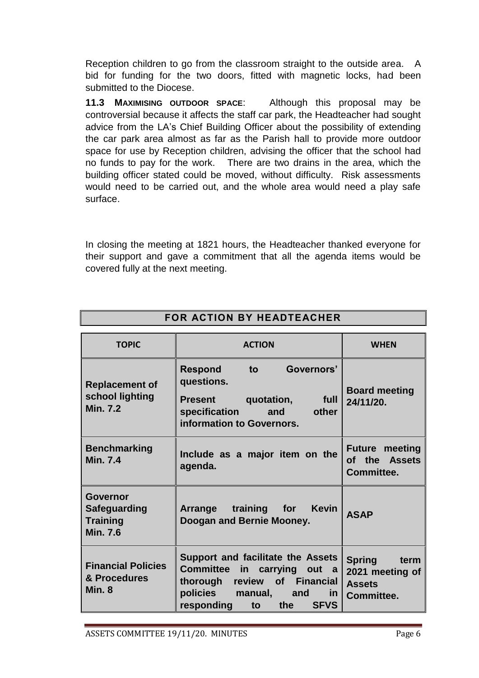Reception children to go from the classroom straight to the outside area. A bid for funding for the two doors, fitted with magnetic locks, had been submitted to the Diocese.

**11.3 MAXIMISING OUTDOOR SPACE**: Although this proposal may be controversial because it affects the staff car park, the Headteacher had sought advice from the LA's Chief Building Officer about the possibility of extending the car park area almost as far as the Parish hall to provide more outdoor space for use by Reception children, advising the officer that the school had no funds to pay for the work. There are two drains in the area, which the building officer stated could be moved, without difficulty. Risk assessments would need to be carried out, and the whole area would need a play safe surface.

In closing the meeting at 1821 hours, the Headteacher thanked everyone for their support and gave a commitment that all the agenda items would be covered fully at the next meeting.

| FOR ACTION BY HEADTEACHER                                                    |                                                                                                                                                                                                |                                                                         |  |  |
|------------------------------------------------------------------------------|------------------------------------------------------------------------------------------------------------------------------------------------------------------------------------------------|-------------------------------------------------------------------------|--|--|
| <b>TOPIC</b>                                                                 | <b>ACTION</b>                                                                                                                                                                                  | <b>WHEN</b>                                                             |  |  |
| <b>Replacement of</b><br>school lighting<br><b>Min. 7.2</b>                  | Governors'<br><b>Respond</b><br>to<br>questions.<br>quotation,<br><b>Present</b><br>full<br>specification<br>and<br>other<br>information to Governors.                                         | <b>Board meeting</b><br>24/11/20.                                       |  |  |
| <b>Benchmarking</b><br><b>Min. 7.4</b>                                       | Include as a major item on the<br>agenda.                                                                                                                                                      | <b>Future meeting</b><br>of the Assets<br>Committee.                    |  |  |
| <b>Governor</b><br><b>Safeguarding</b><br><b>Training</b><br><b>Min. 7.6</b> | <b>Kevin</b><br>Arrange training for<br>Doogan and Bernie Mooney.                                                                                                                              | <b>ASAP</b>                                                             |  |  |
| <b>Financial Policies</b><br>& Procedures<br>Min. 8                          | Support and facilitate the Assets<br><b>Committee</b><br>in<br>carrying out a<br>of Financial<br>thorough review<br>policies<br>manual,<br>and<br>in<br>responding<br><b>SFVS</b><br>the<br>to | <b>Spring</b><br>term<br>2021 meeting of<br><b>Assets</b><br>Committee. |  |  |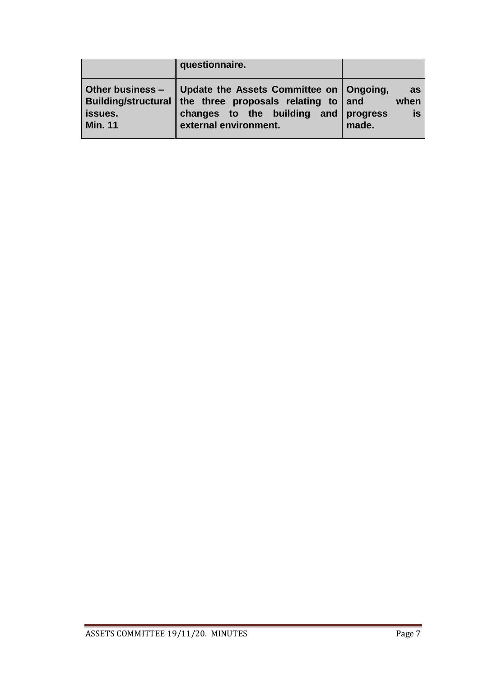|                           | questionnaire.                                                                                                                                                                           |                           |
|---------------------------|------------------------------------------------------------------------------------------------------------------------------------------------------------------------------------------|---------------------------|
| issues.<br><b>Min. 11</b> | Other business -   Update the Assets Committee on   Ongoing,<br>Building/structural the three proposals relating to and<br>changes to the building and progress<br>external environment. | as<br>when<br>is<br>made. |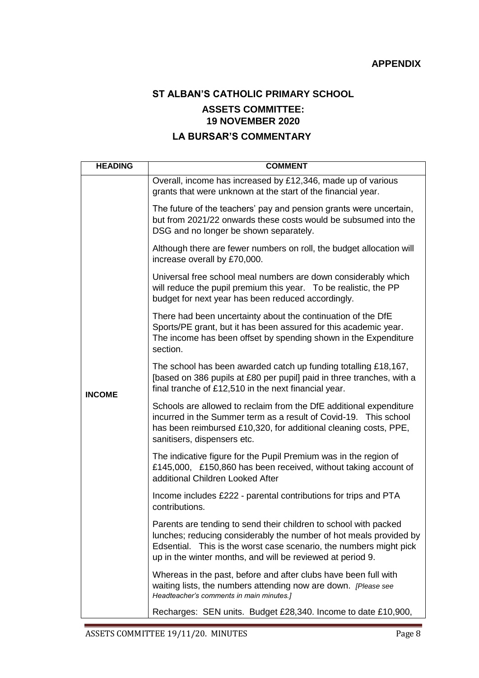# **ST ALBAN'S CATHOLIC PRIMARY SCHOOL ASSETS COMMITTEE: 19 NOVEMBER 2020**

## **LA BURSAR'S COMMENTARY**

| <b>HEADING</b> | <b>COMMENT</b>                                                                                                                                                                                                                                                             |
|----------------|----------------------------------------------------------------------------------------------------------------------------------------------------------------------------------------------------------------------------------------------------------------------------|
| <b>INCOME</b>  | Overall, income has increased by £12,346, made up of various<br>grants that were unknown at the start of the financial year.                                                                                                                                               |
|                | The future of the teachers' pay and pension grants were uncertain,<br>but from 2021/22 onwards these costs would be subsumed into the<br>DSG and no longer be shown separately.                                                                                            |
|                | Although there are fewer numbers on roll, the budget allocation will<br>increase overall by £70,000.                                                                                                                                                                       |
|                | Universal free school meal numbers are down considerably which<br>will reduce the pupil premium this year. To be realistic, the PP<br>budget for next year has been reduced accordingly.                                                                                   |
|                | There had been uncertainty about the continuation of the DfE<br>Sports/PE grant, but it has been assured for this academic year.<br>The income has been offset by spending shown in the Expenditure<br>section.                                                            |
|                | The school has been awarded catch up funding totalling £18,167,<br>[based on 386 pupils at £80 per pupil] paid in three tranches, with a<br>final tranche of £12,510 in the next financial year.                                                                           |
|                | Schools are allowed to reclaim from the DfE additional expenditure<br>incurred in the Summer term as a result of Covid-19. This school<br>has been reimbursed £10,320, for additional cleaning costs, PPE,<br>sanitisers, dispensers etc.                                  |
|                | The indicative figure for the Pupil Premium was in the region of<br>£145,000, £150,860 has been received, without taking account of<br>additional Children Looked After                                                                                                    |
|                | Income includes £222 - parental contributions for trips and PTA<br>contributions.                                                                                                                                                                                          |
|                | Parents are tending to send their children to school with packed<br>lunches; reducing considerably the number of hot meals provided by<br>Edsential. This is the worst case scenario, the numbers might pick<br>up in the winter months, and will be reviewed at period 9. |
|                | Whereas in the past, before and after clubs have been full with<br>waiting lists, the numbers attending now are down. [Please see<br>Headteacher's comments in main minutes.]                                                                                              |
|                | Recharges: SEN units. Budget £28,340. Income to date £10,900,                                                                                                                                                                                                              |